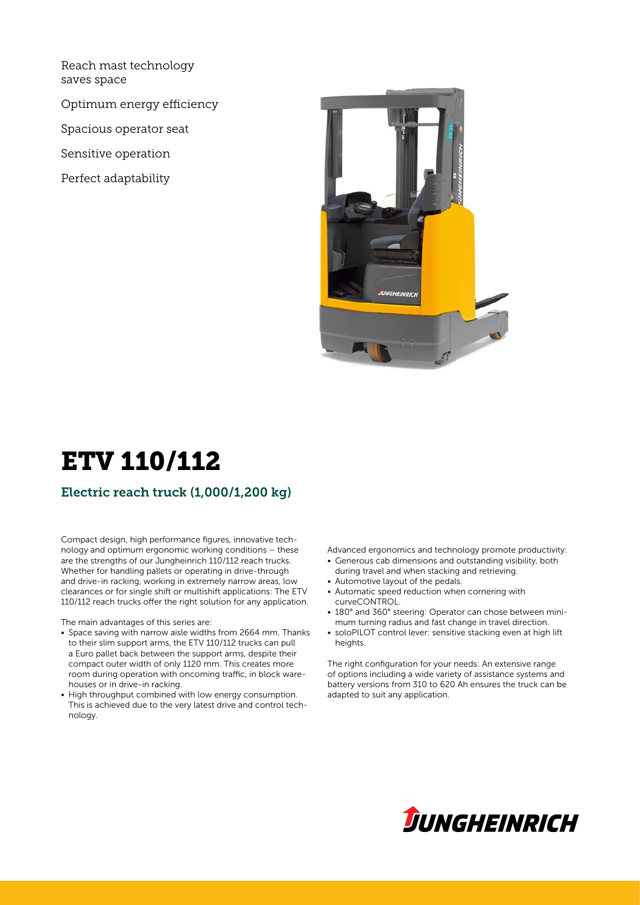Reach mast technology saves space

Optimum energy efficiency

Spacious operator seat

Sensitive operation

Perfect adaptability



# ETV 110/112

### Electric reach truck (1,000/1,200 kg)

Compact design, high performance figures, innovative technology and optimum ergonomic working conditions – these are the strengths of our Jungheinrich 110/112 reach trucks. Whether for handling pallets or operating in drive-through and drive-in racking, working in extremely narrow areas, low clearances or for single shift or multishift applications: The ETV 110/112 reach trucks offer the right solution for any application.

The main advantages of this series are:

- Space saving with narrow aisle widths from 2664 mm. Thanks to their slim support arms, the ETV 110/112 trucks can pull a Euro pallet back between the support arms, despite their compact outer width of only 1120 mm. This creates more room during operation with oncoming traffic, in block warehouses or in drive-in racking.
- High throughput combined with low energy consumption. This is achieved due to the very latest drive and control technology.

Advanced ergonomics and technology promote productivity:

- Generous cab dimensions and outstanding visibility, both during travel and when stacking and retrieving.
- Automotive layout of the pedals.
- Automatic speed reduction when cornering with curveCONTROL.
- 180° and 360° steering: Operator can chose between minimum turning radius and fast change in travel direction.
- soloPILOT control lever: sensitive stacking even at high lift heights.

The right configuration for your needs: An extensive range of options including a wide variety of assistance systems and battery versions from 310 to 620 Ah ensures the truck can be adapted to suit any application.

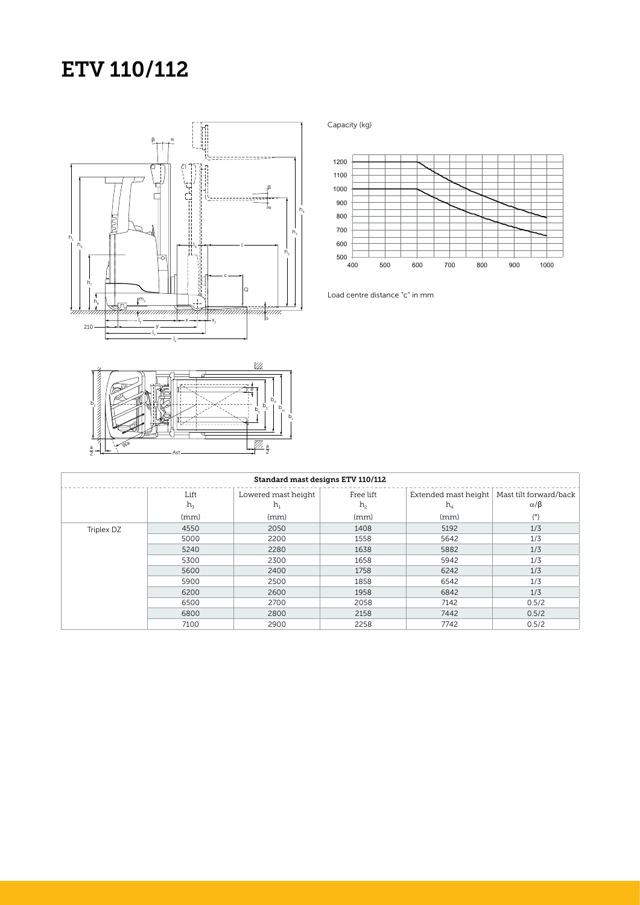## ETV 110/112



 $\mathbb{Z}$ e  $b<sub>4</sub>$  $\overline{b}_2$  $b_5$   $b_1$  $b_{11}$  $b_1$  $\frac{a}{2}$   $\left| \frac{1}{2} \right| \times \sqrt{N^3}$  Ast  $rac{a}{2}$  $\frac{a}{2}$ 

Capacity (kg)



Load centre distance "c" in mm

| Standard mast designs ETV 110/112 |         |                     |                |       |                                               |  |  |  |  |
|-----------------------------------|---------|---------------------|----------------|-------|-----------------------------------------------|--|--|--|--|
|                                   | Lift    | Lowered mast height | Free lift      |       | Extended mast height   Mast tilt forward/back |  |  |  |  |
|                                   | $h_{3}$ | h,                  | h <sub>2</sub> | $h_4$ | $\alpha/\beta$                                |  |  |  |  |
|                                   | (mm)    | (mm)                | (mm)           | (mm)  | (°)                                           |  |  |  |  |
| Triplex DZ                        | 4550    | 2050                | 1408           | 5192  | 1/3                                           |  |  |  |  |
|                                   | 5000    | 2200                | 1558           | 5642  | 1/3                                           |  |  |  |  |
|                                   | 5240    | 2280                | 1638           | 5882  | 1/3                                           |  |  |  |  |
|                                   | 5300    | 2300                | 1658           | 5942  | 1/3                                           |  |  |  |  |
|                                   | 5600    | 2400                | 1758           | 6242  | 1/3                                           |  |  |  |  |
|                                   | 5900    | 2500                | 1858           | 6542  | 1/3                                           |  |  |  |  |
|                                   | 6200    | 2600                | 1958           | 6842  | 1/3                                           |  |  |  |  |
|                                   | 6500    | 2700                | 2058           | 7142  | 0.5/2                                         |  |  |  |  |
|                                   | 6800    | 2800                | 2158           | 7442  | 0.5/2                                         |  |  |  |  |
|                                   | 7100    | 2900                | 2258           | 7742  | 0.5/2                                         |  |  |  |  |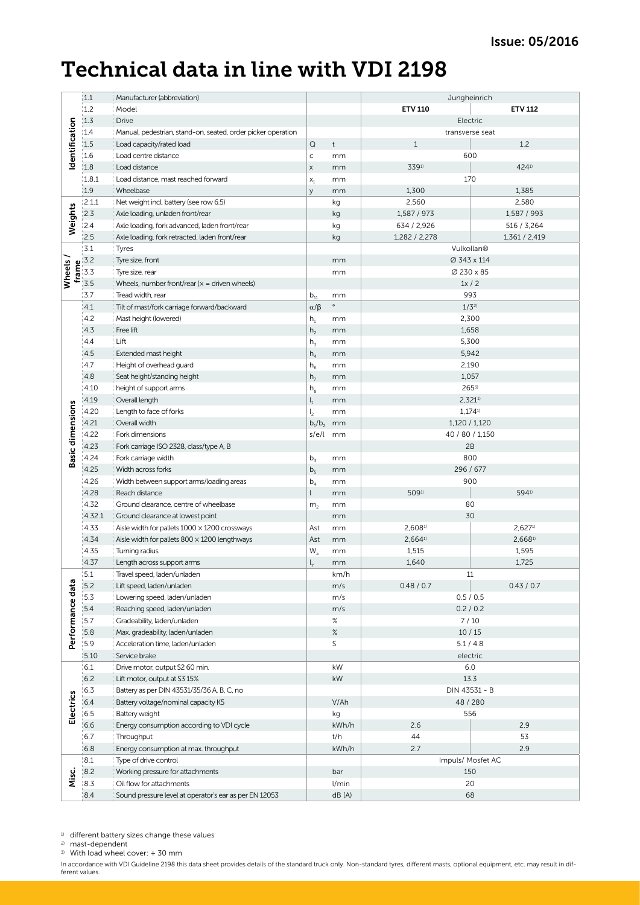### Technical data in line with VDI 2198

|                                                                                            | 1.1    | Manufacturer (abbreviation)                                  |                                     |               | Jungheinrich      |                |  |
|--------------------------------------------------------------------------------------------|--------|--------------------------------------------------------------|-------------------------------------|---------------|-------------------|----------------|--|
|                                                                                            |        |                                                              |                                     |               |                   |                |  |
|                                                                                            | 1.2    | Model                                                        |                                     |               | <b>ETV 110</b>    | <b>ETV 112</b> |  |
|                                                                                            | 1.3    | <b>Drive</b>                                                 |                                     |               |                   | Electric       |  |
|                                                                                            | 1.4    | Manual, pedestrian, stand-on, seated, order picker operation |                                     |               | transverse seat   |                |  |
| Identification                                                                             | 1.5    | Load capacity/rated load                                     | $\hbox{\large \it Q}$               | $^\mathrm{t}$ | $1\,$             | 1.2            |  |
|                                                                                            | 1.6    | Load centre distance                                         | $\mathsf{C}$                        | mm            |                   | 600            |  |
| Weights                                                                                    | 1.8    | Load distance                                                | $\mathsf X$                         | mm            | 3391)             | 4241)          |  |
|                                                                                            | 1.8.1  | Load distance, mast reached forward                          | $\mathsf{x}_{\scriptscriptstyle 1}$ | mm            |                   | 170            |  |
|                                                                                            | 1.9    | Wheelbase                                                    | y                                   | mm            | 1,300             | 1,385          |  |
|                                                                                            | 2.1.1  | Net weight incl. battery (see row 6.5)                       |                                     | kg            | 2,560             | 2,580          |  |
|                                                                                            | 2.3    | Axle loading, unladen front/rear                             |                                     | kg            | 1,587 / 973       | 1,587 / 993    |  |
|                                                                                            | 2.4    | Axle loading, fork advanced, laden front/rear                |                                     | kg            | 634 / 2,926       | 516 / 3,264    |  |
|                                                                                            | 2.5    | Axle loading, fork retracted, laden front/rear               |                                     | kg            | 1,282 / 2,278     | 1,361 / 2,419  |  |
| Wheels<br>$\begin{array}{r} 4 \times 3.2 \\ \hline 5 \times 3.5 \\ \hline 3.5 \end{array}$ | 3.1    | Tyres                                                        |                                     |               | Vulkollan®        |                |  |
|                                                                                            |        | Tyre size, front                                             |                                     | mm            | Ø 343 x 114       |                |  |
|                                                                                            |        | Tyre size, rear                                              |                                     | mm            | Ø 230 x 85        |                |  |
|                                                                                            | 3.5    | Wheels, number front/rear ( $x =$ driven wheels)             |                                     |               | 1x/2              |                |  |
|                                                                                            | 3.7    | Tread width, rear                                            | $b_{11}$                            | mm            | 993               |                |  |
|                                                                                            | 4.1    | Tilt of mast/fork carriage forward/backward                  | $\alpha/\beta$                      | $\circ$       |                   | $1/3^{2}$      |  |
|                                                                                            | 4.2    | Mast height (lowered)                                        | $h_1$                               | mm            | 2,300             |                |  |
|                                                                                            | 4.3    | Free lift                                                    | h <sub>2</sub>                      | mm            | 1,658             |                |  |
|                                                                                            | 4.4    | Lift                                                         | $h_3$                               | mm            |                   | 5,300          |  |
|                                                                                            | 4.5    | Extended mast height                                         | $h_4$                               | mm            |                   |                |  |
|                                                                                            | 4.7    | Height of overhead guard                                     | $h_6$                               | mm            | 5,942             |                |  |
|                                                                                            | 4.8    | Seat height/standing height                                  | h <sub>7</sub>                      | mm            |                   | 2,190          |  |
|                                                                                            | 4.10   | height of support arms                                       |                                     | mm            | 1,057             |                |  |
|                                                                                            |        |                                                              | $h_8$                               |               | $265^{3}$         |                |  |
|                                                                                            | 4.19   | Overall length                                               | $\mathsf{l}_1$                      | mm            | $2,321^{11}$      |                |  |
|                                                                                            | 4.20   | Length to face of forks                                      | $\mathsf{l}_2$                      | mm            | 1,1741)           |                |  |
|                                                                                            | 4.21   | Overall width                                                | $b_1/b_2$                           | mm            | 1,120 / 1,120     |                |  |
| <b>Basic dimensions</b>                                                                    | 4.22   | Fork dimensions                                              | s/e/l                               | mm            | 40 / 80 / 1,150   |                |  |
|                                                                                            | 4.23   | Fork carriage ISO 2328, class/type A, B                      |                                     |               | 2B                |                |  |
|                                                                                            | 4.24   | Fork carriage width                                          | $b_3$                               | mm            | 800               |                |  |
|                                                                                            | 4.25   | Width across forks                                           | b <sub>5</sub>                      | mm            | 296 / 677         |                |  |
|                                                                                            | 4.26   | Width between support arms/loading areas                     | $b_4$                               | mm            | 900               |                |  |
|                                                                                            | 4.28   | Reach distance                                               | $\mathsf{L}$                        | mm            | 5091)<br>5941)    |                |  |
|                                                                                            | 4.32   | Ground clearance, centre of wheelbase                        | m <sub>2</sub>                      | mm            | 80                |                |  |
|                                                                                            | 4.32.1 | Ground clearance at lowest point                             |                                     | mm            |                   | 30             |  |
|                                                                                            | 4.33   | Aisle width for pallets $1000 \times 1200$ crossways         | Ast                                 | mm            | 2,6081)           | 2,6271         |  |
|                                                                                            | 4.34   | Aisle width for pallets $800 \times 1200$ lengthways         | Ast                                 | mm            | 2,6641            | 2,6681)        |  |
|                                                                                            | 4.35   | Turning radius                                               | $\mathsf{W}_{\mathsf{a}}$           | mm            | 1,515             | 1,595          |  |
|                                                                                            | 4.37   | Length across support arms                                   | $l_{7}$                             | mm            | 1,640             | 1,725          |  |
|                                                                                            | 5.1    | Travel speed, laden/unladen                                  |                                     | km/h          |                   | 11             |  |
| Performance data                                                                           | $5.2$  | Lift speed, laden/unladen                                    |                                     | m/s           | 0.48 / 0.7        | 0.43 / 0.7     |  |
|                                                                                            | 15.3   | Lowering speed, laden/unladen                                |                                     | m/s           | 0.5 / 0.5         |                |  |
|                                                                                            | 5.4    | Reaching speed, laden/unladen                                |                                     | m/s           | 0.2 / 0.2         |                |  |
|                                                                                            | 5.7    | Gradeability, laden/unladen                                  |                                     | $\%$          | $7/10$            |                |  |
|                                                                                            | 5.8    | Max. gradeability, laden/unladen                             |                                     | $\%$          | 10/15             |                |  |
|                                                                                            | 15.9   | Acceleration time, laden/unladen                             |                                     | S             | 5.1 / 4.8         |                |  |
|                                                                                            | 5.10   | Service brake                                                |                                     | electric      |                   |                |  |
| Electrics<br>Misc.                                                                         | 6.1    | Drive motor, output S2 60 min.                               |                                     | kW            | 6.0               |                |  |
|                                                                                            | 6.2    | Lift motor, output at S3 15%                                 |                                     | kW            | 13.3              |                |  |
|                                                                                            | 6.3    | Battery as per DIN 43531/35/36 A, B, C, no                   |                                     |               | DIN 43531 - B     |                |  |
|                                                                                            | 6.4    | Battery voltage/nominal capacity K5                          |                                     | V/Ah          | 48 / 280          |                |  |
|                                                                                            | 6.5    | Battery weight                                               |                                     | kg            | 556               |                |  |
|                                                                                            | 6.6    | Energy consumption according to VDI cycle                    |                                     | kWh/h         | 2.6               | 2.9            |  |
|                                                                                            | 6.7    | Throughput                                                   |                                     | t/h           | 44                | 53             |  |
|                                                                                            | 6.8    | Energy consumption at max. throughput                        |                                     | kWh/h         | 2.7               | 2.9            |  |
|                                                                                            | 8.1    | Type of drive control                                        |                                     |               | Impuls/ Mosfet AC |                |  |
|                                                                                            | 8.2    | Working pressure for attachments                             |                                     | bar           | 150               |                |  |
|                                                                                            | 18.3   | Oil flow for attachments                                     |                                     | 1/min         | 20                |                |  |
|                                                                                            | 8.4    | Sound pressure level at operator's ear as per EN 12053       |                                     | dB(A)         | 68                |                |  |

1) different battery sizes change these values

2) mast-dependent

3) With load wheel cover: + 30 mm

In accordance with VDI Guideline 2198 this data sheet provides details of the standard truck only. Non-standard tyres, different masts, optional equipment, etc. may result in dif-<br>ferent values.